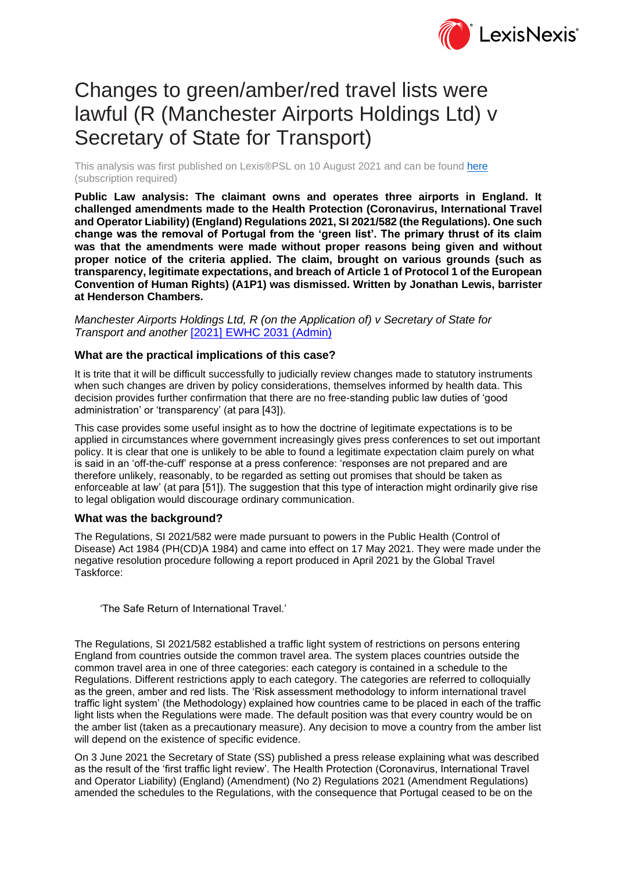

# Changes to green/amber/red travel lists were lawful (R (Manchester Airports Holdings Ltd) v Secretary of State for Transport)

This analysis was first published on Lexis®PSL on 10 August 2021 and can be found [here](https://www.lexisnexis.com/uk/lexispsl/publiclaw/document/412012/63BF-F0W3-CGXG-04T3-00000-00/Changes-to-green-amber-red-travel-lists-were-lawful-%28R-%28Manchester-Airports-Holdings-Ltd%29-v-Secretary-of-State-for-Transport%29) (subscription required)

**Public Law analysis: The claimant owns and operates three airports in England. It challenged amendments made to the Health Protection (Coronavirus, International Travel and Operator Liability) (England) Regulations 2021, SI 2021/582 (the Regulations). One such change was the removal of Portugal from the 'green list'. The primary thrust of its claim was that the amendments were made without proper reasons being given and without proper notice of the criteria applied. The claim, brought on various grounds (such as transparency, legitimate expectations, and breach of Article 1 of Protocol 1 of the European Convention of Human Rights) (A1P1) was dismissed. Written by Jonathan Lewis, barrister at Henderson Chambers.**

*Manchester Airports Holdings Ltd, R (on the Application of) v Secretary of State for Transport and another* [\[2021\] EWHC 2031 \(Admin\)](https://www.lexisnexis.com/uk/lexispsl/commercial/citationlinkHandler.faces?bct=A&service=citation&risb=&EWHCADMIN&$sel1!%252021%25$year!%252021%25$page!%252031%25)

### **What are the practical implications of this case?**

It is trite that it will be difficult successfully to judicially review changes made to statutory instruments when such changes are driven by policy considerations, themselves informed by health data. This decision provides further confirmation that there are no free-standing public law duties of 'good administration' or 'transparency' (at para [43]).

This case provides some useful insight as to how the doctrine of legitimate expectations is to be applied in circumstances where government increasingly gives press conferences to set out important policy. It is clear that one is unlikely to be able to found a legitimate expectation claim purely on what is said in an 'off-the-cuff' response at a press conference: 'responses are not prepared and are therefore unlikely, reasonably, to be regarded as setting out promises that should be taken as enforceable at law' (at para [51]). The suggestion that this type of interaction might ordinarily give rise to legal obligation would discourage ordinary communication.

#### **What was the background?**

The Regulations, SI 2021/582 were made pursuant to powers in the Public Health (Control of Disease) Act 1984 (PH(CD)A 1984) and came into effect on 17 May 2021. They were made under the negative resolution procedure following a report produced in April 2021 by the Global Travel Taskforce:

'The Safe Return of International Travel.'

The Regulations, SI 2021/582 established a traffic light system of restrictions on persons entering England from countries outside the common travel area. The system places countries outside the common travel area in one of three categories: each category is contained in a schedule to the Regulations. Different restrictions apply to each category. The categories are referred to colloquially as the green, amber and red lists. The 'Risk assessment methodology to inform international travel traffic light system' (the Methodology) explained how countries came to be placed in each of the traffic light lists when the Regulations were made. The default position was that every country would be on the amber list (taken as a precautionary measure). Any decision to move a country from the amber list will depend on the existence of specific evidence.

On 3 June 2021 the Secretary of State (SS) published a press release explaining what was described as the result of the 'first traffic light review'. The Health Protection (Coronavirus, International Travel and Operator Liability) (England) (Amendment) (No 2) Regulations 2021 (Amendment Regulations) amended the schedules to the Regulations, with the consequence that Portugal ceased to be on the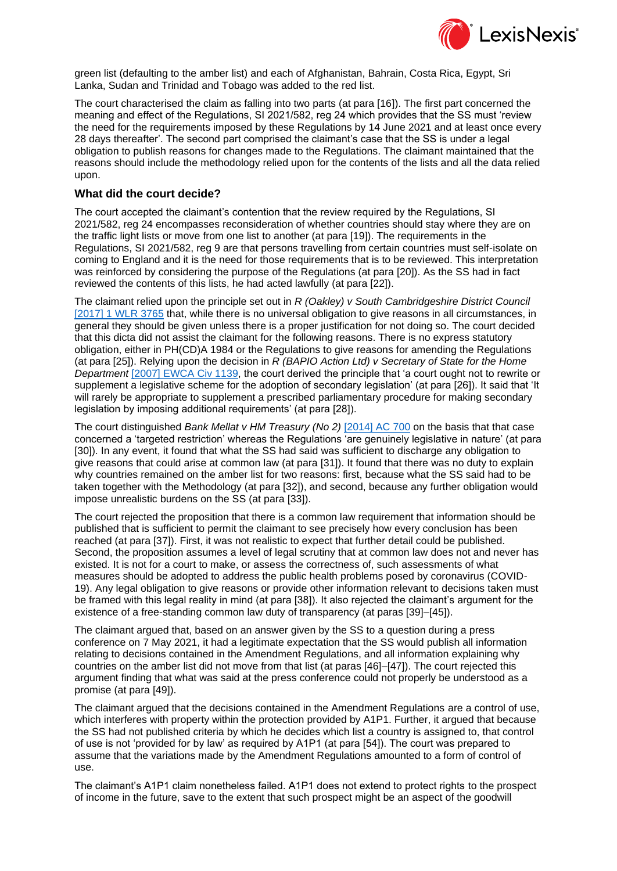

green list (defaulting to the amber list) and each of Afghanistan, Bahrain, Costa Rica, Egypt, Sri Lanka, Sudan and Trinidad and Tobago was added to the red list.

The court characterised the claim as falling into two parts (at para [16]). The first part concerned the meaning and effect of the Regulations, SI 2021/582, reg 24 which provides that the SS must 'review the need for the requirements imposed by these Regulations by 14 June 2021 and at least once every 28 days thereafter'. The second part comprised the claimant's case that the SS is under a legal obligation to publish reasons for changes made to the Regulations. The claimant maintained that the reasons should include the methodology relied upon for the contents of the lists and all the data relied upon.

## **What did the court decide?**

The court accepted the claimant's contention that the review required by the Regulations, SI 2021/582, reg 24 encompasses reconsideration of whether countries should stay where they are on the traffic light lists or move from one list to another (at para [19]). The requirements in the Regulations, SI 2021/582, reg 9 are that persons travelling from certain countries must self-isolate on coming to England and it is the need for those requirements that is to be reviewed. This interpretation was reinforced by considering the purpose of the Regulations (at para [20]). As the SS had in fact reviewed the contents of this lists, he had acted lawfully (at para [22]).

The claimant relied upon the principle set out in *R (Oakley) v South Cambridgeshire District Council* [\[2017\] 1 WLR 3765](https://www.lexisnexis.com/uk/lexispsl/publiclaw/document/412012/63BF-F0W3-CGXG-04T3-00000-00/linkHandler.faces?psldocinfo=Changes_to_green_amber_red_travel_lists_were_lawful__R__Manchester_Airports_Holdings_Ltd__v_Secretary_of_State_for_Transport_&linkInfo=F%23GB%23WLR%23sel1%252017%25vol%251%25year%252017%25page%253765%25sel2%251%25&A=0.42658559813810415&bct=A&ps=subtopic%2CPUBLICLAW%2CNEWSANALYSIS%2C107356%2C120745%2C&risb=&service=citation&langcountry=GB) that, while there is no universal obligation to give reasons in all circumstances, in general they should be given unless there is a proper justification for not doing so. The court decided that this dicta did not assist the claimant for the following reasons. There is no express statutory obligation, either in PH(CD)A 1984 or the Regulations to give reasons for amending the Regulations (at para [25]). Relying upon the decision in *R (BAPIO Action Ltd) v Secretary of State for the Home Department* [\[2007\] EWCA Civ 1139,](https://www.lexisnexis.com/uk/lexispsl/publiclaw/document/412012/63BF-F0W3-CGXG-04T3-00000-00/linkHandler.faces?psldocinfo=Changes_to_green_amber_red_travel_lists_were_lawful__R__Manchester_Airports_Holdings_Ltd__v_Secretary_of_State_for_Transport_&linkInfo=F%23GB%23EWCACIV%23sel1%252007%25year%252007%25page%251139%25&A=0.4077815374779805&bct=A&ps=subtopic%2CPUBLICLAW%2CNEWSANALYSIS%2C107356%2C120745%2C&risb=&service=citation&langcountry=GB) the court derived the principle that 'a court ought not to rewrite or supplement a legislative scheme for the adoption of secondary legislation' (at para [26]). It said that 'It will rarely be appropriate to supplement a prescribed parliamentary procedure for making secondary legislation by imposing additional requirements' (at para [28]).

The court distinguished *Bank Mellat v HM Treasury (No 2)* [\[2014\] AC 700](https://www.lexisnexis.com/uk/lexispsl/publiclaw/document/412012/63BF-F0W3-CGXG-04T3-00000-00/linkHandler.faces?psldocinfo=Changes_to_green_amber_red_travel_lists_were_lawful__R__Manchester_Airports_Holdings_Ltd__v_Secretary_of_State_for_Transport_&linkInfo=F%23GB%23AC%23sel1%252014%25year%252014%25page%25700%25&A=0.6336719571839915&bct=A&ps=subtopic%2CPUBLICLAW%2CNEWSANALYSIS%2C107356%2C120745%2C&risb=&service=citation&langcountry=GB) on the basis that that case concerned a 'targeted restriction' whereas the Regulations 'are genuinely legislative in nature' (at para [30]). In any event, it found that what the SS had said was sufficient to discharge any obligation to give reasons that could arise at common law (at para [31]). It found that there was no duty to explain why countries remained on the amber list for two reasons: first, because what the SS said had to be taken together with the Methodology (at para [32]), and second, because any further obligation would impose unrealistic burdens on the SS (at para [33]).

The court rejected the proposition that there is a common law requirement that information should be published that is sufficient to permit the claimant to see precisely how every conclusion has been reached (at para [37]). First, it was not realistic to expect that further detail could be published. Second, the proposition assumes a level of legal scrutiny that at common law does not and never has existed. It is not for a court to make, or assess the correctness of, such assessments of what measures should be adopted to address the public health problems posed by coronavirus (COVID-19). Any legal obligation to give reasons or provide other information relevant to decisions taken must be framed with this legal reality in mind (at para [38]). It also rejected the claimant's argument for the existence of a free-standing common law duty of transparency (at paras [39]–[45]).

The claimant argued that, based on an answer given by the SS to a question during a press conference on 7 May 2021, it had a legitimate expectation that the SS would publish all information relating to decisions contained in the Amendment Regulations, and all information explaining why countries on the amber list did not move from that list (at paras [46]–[47]). The court rejected this argument finding that what was said at the press conference could not properly be understood as a promise (at para [49]).

The claimant argued that the decisions contained in the Amendment Regulations are a control of use, which interferes with property within the protection provided by A1P1. Further, it argued that because the SS had not published criteria by which he decides which list a country is assigned to, that control of use is not 'provided for by law' as required by A1P1 (at para [54]). The court was prepared to assume that the variations made by the Amendment Regulations amounted to a form of control of use.

The claimant's A1P1 claim nonetheless failed. A1P1 does not extend to protect rights to the prospect of income in the future, save to the extent that such prospect might be an aspect of the goodwill